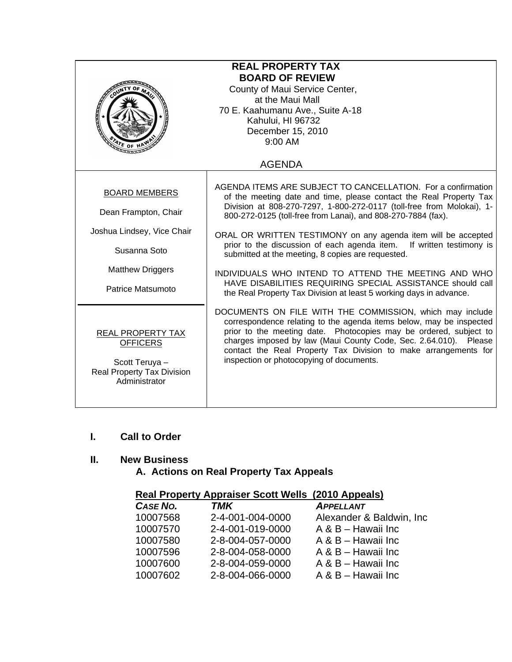| <b>REAL PROPERTY TAX</b><br><b>BOARD OF REVIEW</b><br>County of Maui Service Center,<br>at the Maui Mall<br>70 E. Kaahumanu Ave., Suite A-18<br>Kahului, HI 96732<br>December 15, 2010<br>9:00 AM |                                                                                                                                                                                                                                                                                                                                                                                                                                                                                                                                                                                                                                                                       |  |
|---------------------------------------------------------------------------------------------------------------------------------------------------------------------------------------------------|-----------------------------------------------------------------------------------------------------------------------------------------------------------------------------------------------------------------------------------------------------------------------------------------------------------------------------------------------------------------------------------------------------------------------------------------------------------------------------------------------------------------------------------------------------------------------------------------------------------------------------------------------------------------------|--|
|                                                                                                                                                                                                   | <b>AGENDA</b>                                                                                                                                                                                                                                                                                                                                                                                                                                                                                                                                                                                                                                                         |  |
| <b>BOARD MEMBERS</b><br>Dean Frampton, Chair<br>Joshua Lindsey, Vice Chair<br>Susanna Soto<br><b>Matthew Driggers</b><br>Patrice Matsumoto                                                        | AGENDA ITEMS ARE SUBJECT TO CANCELLATION. For a confirmation<br>of the meeting date and time, please contact the Real Property Tax<br>Division at 808-270-7297, 1-800-272-0117 (toll-free from Molokai), 1-<br>800-272-0125 (toll-free from Lanai), and 808-270-7884 (fax).<br>ORAL OR WRITTEN TESTIMONY on any agenda item will be accepted<br>prior to the discussion of each agenda item. If written testimony is<br>submitted at the meeting, 8 copies are requested.<br>INDIVIDUALS WHO INTEND TO ATTEND THE MEETING AND WHO<br>HAVE DISABILITIES REQUIRING SPECIAL ASSISTANCE should call<br>the Real Property Tax Division at least 5 working days in advance. |  |
| REAL PROPERTY TAX<br><b>OFFICERS</b><br>Scott Teruya -<br>Real Property Tax Division<br>Administrator                                                                                             | DOCUMENTS ON FILE WITH THE COMMISSION, which may include<br>correspondence relating to the agenda items below, may be inspected<br>prior to the meeting date. Photocopies may be ordered, subject to<br>charges imposed by law (Maui County Code, Sec. 2.64.010). Please<br>contact the Real Property Tax Division to make arrangements for<br>inspection or photocopying of documents.                                                                                                                                                                                                                                                                               |  |

### **I. Call to Order**

# **II. New Business**

# **A. Actions on Real Property Tax Appeals**

## **Real Property Appraiser Scott Wells (2010 Appeals)**

| CASE NO. | TMK              | <b>APPELLANT</b>          |
|----------|------------------|---------------------------|
| 10007568 | 2-4-001-004-0000 | Alexander & Baldwin, Inc. |
| 10007570 | 2-4-001-019-0000 | A & B - Hawaii Inc        |
| 10007580 | 2-8-004-057-0000 | A & B - Hawaii Inc        |
| 10007596 | 2-8-004-058-0000 | A & B - Hawaii Inc        |
| 10007600 | 2-8-004-059-0000 | A & B - Hawaii Inc        |
| 10007602 | 2-8-004-066-0000 | A & B - Hawaii Inc        |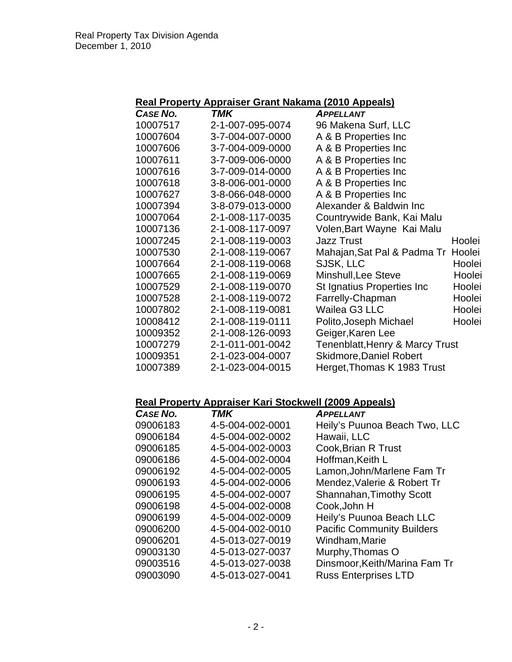|  | Real Property Appraiser Grant Nakama (2010 Appeals) |  |
|--|-----------------------------------------------------|--|
|  |                                                     |  |

| CASE NO. | TMK              | <b>APPELLANT</b>                           |        |
|----------|------------------|--------------------------------------------|--------|
| 10007517 | 2-1-007-095-0074 | 96 Makena Surf, LLC                        |        |
| 10007604 | 3-7-004-007-0000 | A & B Properties Inc                       |        |
| 10007606 | 3-7-004-009-0000 | A & B Properties Inc                       |        |
| 10007611 | 3-7-009-006-0000 | A & B Properties Inc                       |        |
| 10007616 | 3-7-009-014-0000 | A & B Properties Inc                       |        |
| 10007618 | 3-8-006-001-0000 | A & B Properties Inc                       |        |
| 10007627 | 3-8-066-048-0000 | A & B Properties Inc                       |        |
| 10007394 | 3-8-079-013-0000 | Alexander & Baldwin Inc                    |        |
| 10007064 | 2-1-008-117-0035 | Countrywide Bank, Kai Malu                 |        |
| 10007136 | 2-1-008-117-0097 | Volen, Bart Wayne Kai Malu                 |        |
| 10007245 | 2-1-008-119-0003 | <b>Jazz Trust</b>                          | Hoolei |
| 10007530 | 2-1-008-119-0067 | Mahajan, Sat Pal & Padma Tr                | Hoolei |
| 10007664 | 2-1-008-119-0068 | SJSK, LLC                                  | Hoolei |
| 10007665 | 2-1-008-119-0069 | Minshull, Lee Steve                        | Hoolei |
| 10007529 | 2-1-008-119-0070 | St Ignatius Properties Inc                 | Hoolei |
| 10007528 | 2-1-008-119-0072 | Farrelly-Chapman                           | Hoolei |
| 10007802 | 2-1-008-119-0081 | Wailea G3 LLC                              | Hoolei |
| 10008412 | 2-1-008-119-0111 | Polito, Joseph Michael                     | Hoolei |
| 10009352 | 2-1-008-126-0093 | Geiger, Karen Lee                          |        |
| 10007279 | 2-1-011-001-0042 | <b>Tenenblatt, Henry &amp; Marcy Trust</b> |        |
| 10009351 | 2-1-023-004-0007 | <b>Skidmore, Daniel Robert</b>             |        |
| 10007389 | 2-1-023-004-0015 | Herget, Thomas K 1983 Trust                |        |

# **Real Property Appraiser Kari Stockwell (2009 Appeals)**

| <b>CASE NO.</b> | <b>TMK</b>       | <b>APPELLANT</b>                  |
|-----------------|------------------|-----------------------------------|
| 09006183        | 4-5-004-002-0001 | Heily's Puunoa Beach Two, LLC     |
| 09006184        | 4-5-004-002-0002 | Hawaii, LLC                       |
| 09006185        | 4-5-004-002-0003 | Cook, Brian R Trust               |
| 09006186        | 4-5-004-002-0004 | Hoffman, Keith L                  |
| 09006192        | 4-5-004-002-0005 | Lamon, John/Marlene Fam Tr        |
| 09006193        | 4-5-004-002-0006 | Mendez, Valerie & Robert Tr       |
| 09006195        | 4-5-004-002-0007 | <b>Shannahan, Timothy Scott</b>   |
| 09006198        | 4-5-004-002-0008 | Cook, John H                      |
| 09006199        | 4-5-004-002-0009 | Heily's Puunoa Beach LLC          |
| 09006200        | 4-5-004-002-0010 | <b>Pacific Community Builders</b> |
| 09006201        | 4-5-013-027-0019 | Windham, Marie                    |
| 09003130        | 4-5-013-027-0037 | Murphy, Thomas O                  |
| 09003516        | 4-5-013-027-0038 | Dinsmoor, Keith/Marina Fam Tr     |
| 09003090        | 4-5-013-027-0041 | <b>Russ Enterprises LTD</b>       |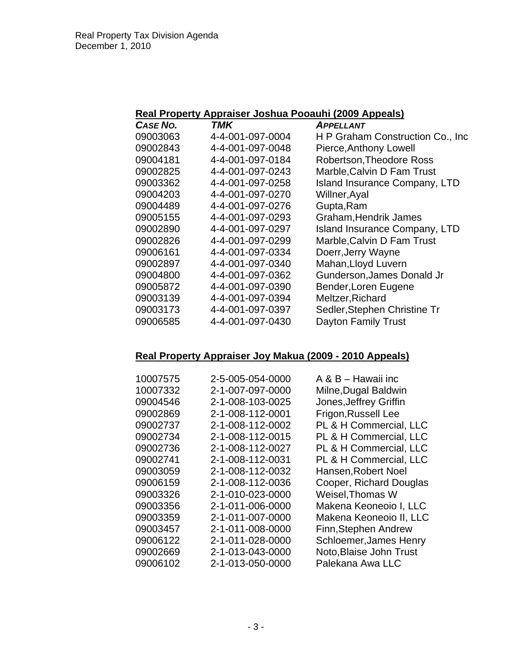## **Real Property Appraiser Joshua Pooauhi (2009 Appeals)**

| <b>CASE NO.</b> | TMK              | <b>APPELLANT</b>                     |
|-----------------|------------------|--------------------------------------|
| 09003063        | 4-4-001-097-0004 | H P Graham Construction Co., Inc.    |
| 09002843        | 4-4-001-097-0048 | Pierce, Anthony Lowell               |
| 09004181        | 4-4-001-097-0184 | <b>Robertson, Theodore Ross</b>      |
| 09002825        | 4-4-001-097-0243 | Marble, Calvin D Fam Trust           |
| 09003362        | 4-4-001-097-0258 | <b>Island Insurance Company, LTD</b> |
| 09004203        | 4-4-001-097-0270 | Willner, Ayal                        |
| 09004489        | 4-4-001-097-0276 | Gupta, Ram                           |
| 09005155        | 4-4-001-097-0293 | Graham, Hendrik James                |
| 09002890        | 4-4-001-097-0297 | <b>Island Insurance Company, LTD</b> |
| 09002826        | 4-4-001-097-0299 | Marble, Calvin D Fam Trust           |
| 09006161        | 4-4-001-097-0334 | Doerr, Jerry Wayne                   |
| 09002897        | 4-4-001-097-0340 | Mahan, Lloyd Luvern                  |
| 09004800        | 4-4-001-097-0362 | Gunderson, James Donald Jr           |
| 09005872        | 4-4-001-097-0390 | Bender, Loren Eugene                 |
| 09003139        | 4-4-001-097-0394 | Meltzer, Richard                     |
| 09003173        | 4-4-001-097-0397 | Sedler, Stephen Christine Tr         |
| 09006585        | 4-4-001-097-0430 | Dayton Family Trust                  |
|                 |                  |                                      |

# **Real Property Appraiser Joy Makua (2009 - 2010 Appeals)**

| 10007575 | 2-5-005-054-0000 | A & B - Hawaii inc      |
|----------|------------------|-------------------------|
| 10007332 | 2-1-007-097-0000 | Milne, Dugal Baldwin    |
| 09004546 | 2-1-008-103-0025 | Jones, Jeffrey Griffin  |
| 09002869 | 2-1-008-112-0001 | Frigon, Russell Lee     |
| 09002737 | 2-1-008-112-0002 | PL & H Commercial, LLC  |
| 09002734 | 2-1-008-112-0015 | PL & H Commercial, LLC  |
| 09002736 | 2-1-008-112-0027 | PL & H Commercial, LLC  |
| 09002741 | 2-1-008-112-0031 | PL & H Commercial, LLC  |
| 09003059 | 2-1-008-112-0032 | Hansen, Robert Noel     |
| 09006159 | 2-1-008-112-0036 | Cooper, Richard Douglas |
| 09003326 | 2-1-010-023-0000 | Weisel, Thomas W        |
| 09003356 | 2-1-011-006-0000 | Makena Keoneoio I, LLC  |
| 09003359 | 2-1-011-007-0000 | Makena Keoneoio II, LLC |
| 09003457 | 2-1-011-008-0000 | Finn, Stephen Andrew    |
| 09006122 | 2-1-011-028-0000 | Schloemer, James Henry  |
| 09002669 | 2-1-013-043-0000 | Noto, Blaise John Trust |
| 09006102 | 2-1-013-050-0000 | Palekana Awa LLC        |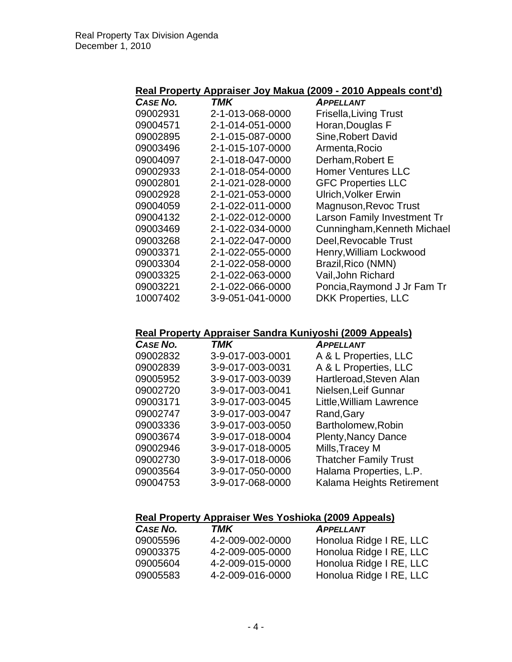## **Real Property Appraiser Joy Makua (2009 - 2010 Appeals cont'd)**

| CASE NO. | <b>TMK</b>       | APPELLANT                     |
|----------|------------------|-------------------------------|
| 09002931 | 2-1-013-068-0000 | <b>Frisella, Living Trust</b> |
| 09004571 | 2-1-014-051-0000 | Horan, Douglas F              |
| 09002895 | 2-1-015-087-0000 | Sine, Robert David            |
| 09003496 | 2-1-015-107-0000 | Armenta, Rocio                |
| 09004097 | 2-1-018-047-0000 | Derham, Robert E              |
| 09002933 | 2-1-018-054-0000 | <b>Homer Ventures LLC</b>     |
| 09002801 | 2-1-021-028-0000 | <b>GFC Properties LLC</b>     |
| 09002928 | 2-1-021-053-0000 | <b>Ulrich, Volker Erwin</b>   |
| 09004059 | 2-1-022-011-0000 | Magnuson, Revoc Trust         |
| 09004132 | 2-1-022-012-0000 | Larson Family Investment Tr   |
| 09003469 | 2-1-022-034-0000 | Cunningham, Kenneth Michael   |
| 09003268 | 2-1-022-047-0000 | Deel, Revocable Trust         |
| 09003371 | 2-1-022-055-0000 | Henry, William Lockwood       |
| 09003304 | 2-1-022-058-0000 | Brazil, Rico (NMN)            |
| 09003325 | 2-1-022-063-0000 | Vail, John Richard            |
| 09003221 | 2-1-022-066-0000 | Poncia, Raymond J Jr Fam Tr   |
| 10007402 | 3-9-051-041-0000 | <b>DKK Properties, LLC</b>    |

## **Real Property Appraiser Sandra Kuniyoshi (2009 Appeals)**

| CASE NO. | <b>TMK</b>       | <b>APPELLANT</b>             |
|----------|------------------|------------------------------|
| 09002832 | 3-9-017-003-0001 | A & L Properties, LLC        |
| 09002839 | 3-9-017-003-0031 | A & L Properties, LLC        |
| 09005952 | 3-9-017-003-0039 | Hartleroad, Steven Alan      |
| 09002720 | 3-9-017-003-0041 | Nielsen, Leif Gunnar         |
| 09003171 | 3-9-017-003-0045 | Little, William Lawrence     |
| 09002747 | 3-9-017-003-0047 | Rand, Gary                   |
| 09003336 | 3-9-017-003-0050 | Bartholomew, Robin           |
| 09003674 | 3-9-017-018-0004 | <b>Plenty, Nancy Dance</b>   |
| 09002946 | 3-9-017-018-0005 | Mills, Tracey M              |
| 09002730 | 3-9-017-018-0006 | <b>Thatcher Family Trust</b> |
| 09003564 | 3-9-017-050-0000 | Halama Properties, L.P.      |
| 09004753 | 3-9-017-068-0000 | Kalama Heights Retirement    |

# **Real Property Appraiser Wes Yoshioka (2009 Appeals)**

| <b>CASE NO.</b> | TMK              | <b>APPELLANT</b>        |
|-----------------|------------------|-------------------------|
| 09005596        | 4-2-009-002-0000 | Honolua Ridge I RE, LLC |
| 09003375        | 4-2-009-005-0000 | Honolua Ridge I RE, LLC |
| 09005604        | 4-2-009-015-0000 | Honolua Ridge I RE, LLC |
| 09005583        | 4-2-009-016-0000 | Honolua Ridge I RE, LLC |